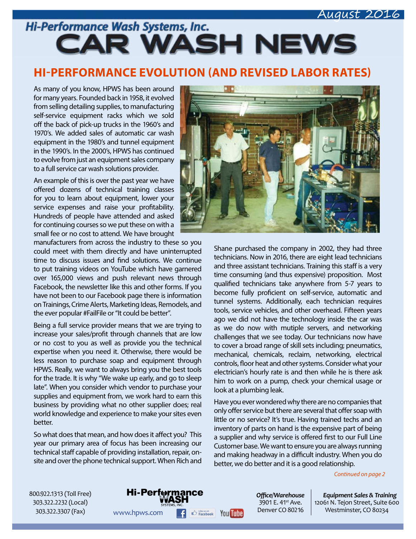### August 2016

Hi-Performance Wash Systems, Inc. **CAR WASH NEWS** 

### **HI-PERFORMANCE EVOLUTION (AND REVISED LABOR RATES)**

As many of you know, HPWS has been around for many years. Founded back in 1958, it evolved from selling detailing supplies, to manufacturing self-service equipment racks which we sold off the back of pick-up trucks in the 1960's and 1970's. We added sales of automatic car wash equipment in the 1980's and tunnel equipment in the 1990's. In the 2000's, HPWS has continued to evolve from just an equipment sales company to a full service car wash solutions provider.

An example of this is over the past year we have offered dozens of technical training classes for you to learn about equipment, lower your service expenses and raise your profitability. Hundreds of people have attended and asked for continuing courses so we put these on with a small fee or no cost to attend. We have brought

manufacturers from across the industry to these so you could meet with them directly and have uninterrupted time to discuss issues and find solutions. We continue to put training videos on YouTube which have garnered over 165,000 views and push relevant news through Facebook, the newsletter like this and other forms. If you have not been to our Facebook page there is information on Trainings, Crime Alerts, Marketing Ideas, Remodels, and the ever popular #FailFile or "It could be better".

Being a full service provider means that we are trying to increase your sales/profit through channels that are low or no cost to you as well as provide you the technical expertise when you need it. Otherwise, there would be less reason to purchase soap and equipment through HPWS. Really, we want to always bring you the best tools for the trade. It is why "We wake up early, and go to sleep late". When you consider which vendor to purchase your supplies and equipment from, we work hard to earn this business by providing what no other supplier does; real world knowledge and experience to make your sites even better.

So what does that mean, and how does it affect you? This year our primary area of focus has been increasing our technical staff capable of providing installation, repair, onsite and over the phone technical support. When Rich and



Shane purchased the company in 2002, they had three technicians. Now in 2016, there are eight lead technicians and three assistant technicians. Training this staff is a very time consuming (and thus expensive) proposition. Most qualified technicians take anywhere from 5-7 years to become fully proficient on self-service, automatic and tunnel systems. Additionally, each technician requires tools, service vehicles, and other overhead. Fifteen years ago we did not have the technology inside the car was as we do now with mutiple servers, and networking challenges that we see today. Our technicians now have to cover a broad range of skill sets including; pneumatics, mechanical, chemicals, reclaim, networking, electrical controls, floor heat and other systems. Consider what your electrician's hourly rate is and then while he is there ask him to work on a pump, check your chemical usage or look at a plumbing leak.

Have you ever wondered why there are no companies that only offer service but there are several that offer soap with little or no service? It's true. Having trained techs and an inventory of parts on hand is the expensive part of being a supplier and why service is offered first to our Full Line Customer base. We want to ensure you are always running and making headway in a difficult industry. When you do better, we do better and it is a good relationship.

*Continued on page 2*

800.922.1313 (Toll Free) 303.322.2232 (Local) 303.322.3307 (Fax)



*Offi ce/Warehouse* 3901 E. 41<sup>st</sup> Ave. Denver CO 80216

*Equipment Sales & Training* 12061 N. Tejon Street, Suite 600